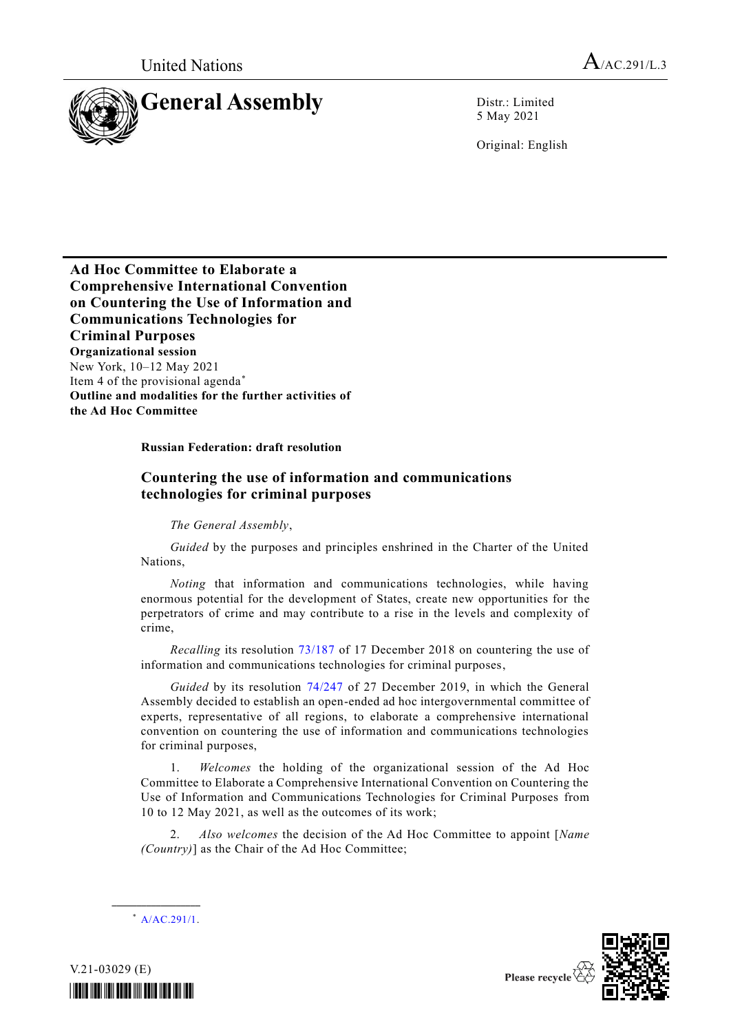

5 May 2021

Original: English

**Ad Hoc Committee to Elaborate a Comprehensive International Convention on Countering the Use of Information and Communications Technologies for Criminal Purposes Organizational session** New York, 10–12 May 2021 Item 4 of the provisional agenda\* **Outline and modalities for the further activities of the Ad Hoc Committee**

## **Russian Federation: draft resolution**

## **Countering the use of information and communications technologies for criminal purposes**

*The General Assembly*,

*Guided* by the purposes and principles enshrined in the Charter of the United Nations,

*Noting* that information and communications technologies, while having enormous potential for the development of States, create new opportunities for the perpetrators of crime and may contribute to a rise in the levels and complexity of crime,

*Recalling* its resolution [73/187](http://undocs.org/A/RES/73/187) of 17 December 2018 on countering the use of information and communications technologies for criminal purposes,

*Guided* by its resolution [74/247](http://undocs.org/A/RES/74/247) of 27 December 2019, in which the General Assembly decided to establish an open-ended ad hoc intergovernmental committee of experts, representative of all regions, to elaborate a comprehensive international convention on countering the use of information and communications technologies for criminal purposes,

1. *Welcomes* the holding of the organizational session of the Ad Hoc Committee to Elaborate a Comprehensive International Convention on Countering the Use of Information and Communications Technologies for Criminal Purposes from 10 to 12 May 2021, as well as the outcomes of its work;

2. *Also welcomes* the decision of the Ad Hoc Committee to appoint [*Name (Country)*] as the Chair of the Ad Hoc Committee;



**\_\_\_\_\_\_\_\_\_\_\_\_\_\_\_\_\_\_**



V.21-03029 (E)